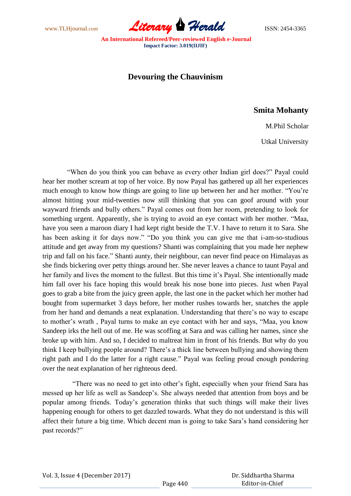

## **Devouring the Chauvinism**

## **Smita Mohanty**

M.Phil Scholar

Utkal University

 "When do you think you can behave as every other Indian girl does?" Payal could hear her mother scream at top of her voice. By now Payal has gathered up all her experiences much enough to know how things are going to line up between her and her mother. "You"re almost hitting your mid-twenties now still thinking that you can goof around with your wayward friends and bully others." Payal comes out from her room, pretending to look for something urgent. Apparently, she is trying to avoid an eye contact with her mother. "Maa, have you seen a maroon diary I had kept right beside the T.V. I have to return it to Sara. She has been asking it for days now." "Do you think you can give me that i-am-so-studious attitude and get away from my questions? Shanti was complaining that you made her nephew trip and fall on his face." Shanti aunty, their neighbour, can never find peace on Himalayas as she finds bickering over petty things around her. She never leaves a chance to taunt Payal and her family and lives the moment to the fullest. But this time it's Payal. She intentionally made him fall over his face hoping this would break his nose bone into pieces. Just when Payal goes to grab a bite from the juicy green apple, the last one in the packet which her mother had bought from supermarket 3 days before, her mother rushes towards her, snatches the apple from her hand and demands a neat explanation. Understanding that there"s no way to escape to mother"s wrath , Payal turns to make an eye contact with her and says, "Maa, you know Sandeep irks the hell out of me. He was scoffing at Sara and was calling her names, since she broke up with him. And so, I decided to maltreat him in front of his friends. But why do you think I keep bullying people around? There's a thick line between bullying and showing them right path and I do the latter for a right cause." Payal was feeling proud enough pondering over the neat explanation of her righteous deed.

 "There was no need to get into other"s fight, especially when your friend Sara has messed up her life as well as Sandeep"s. She always needed that attention from boys and be popular among friends. Today"s generation thinks that such things will make their lives happening enough for others to get dazzled towards. What they do not understand is this will affect their future a big time. Which decent man is going to take Sara"s hand considering her past records?"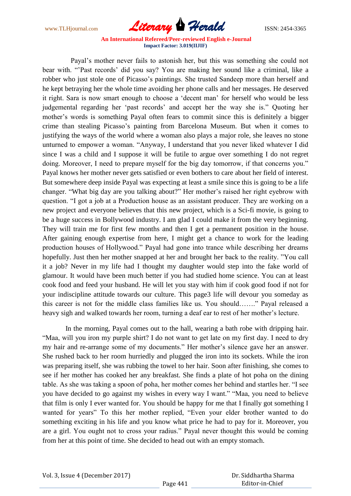

 Payal"s mother never fails to astonish her, but this was something she could not bear with. ""Past records" did you say? You are making her sound like a criminal, like a robber who just stole one of Picasso"s paintings. She trusted Sandeep more than herself and he kept betraying her the whole time avoiding her phone calls and her messages. He deserved it right. Sara is now smart enough to choose a "decent man" for herself who would be less judgemental regarding her "past records" and accept her the way she is." Quoting her mother's words is something Payal often fears to commit since this is definitely a bigger crime than stealing Picasso"s painting from Barcelona Museum. But when it comes to justifying the ways of the world where a woman also plays a major role, she leaves no stone unturned to empower a woman. "Anyway, I understand that you never liked whatever I did since I was a child and I suppose it will be futile to argue over something I do not regret doing. Moreover, I need to prepare myself for the big day tomorrow, if that concerns you." Payal knows her mother never gets satisfied or even bothers to care about her field of interest. But somewhere deep inside Payal was expecting at least a smile since this is going to be a life changer. "What big day are you talking about?" Her mother's raised her right eyebrow with question. "I got a job at a Production house as an assistant producer. They are working on a new project and everyone believes that this new project, which is a Sci-fi movie, is going to be a huge success in Bollywood industry. I am glad I could make it from the very beginning. They will train me for first few months and then I get a permanent position in the house. After gaining enough expertise from here, I might get a chance to work for the leading production houses of Hollywood." Payal had gone into trance while describing her dreams hopefully. Just then her mother snapped at her and brought her back to the reality. "You call it a job? Never in my life had I thought my daughter would step into the fake world of glamour. It would have been much better if you had studied home science. You can at least cook food and feed your husband. He will let you stay with him if cook good food if not for your indiscipline attitude towards our culture. This page3 life will devour you someday as this career is not for the middle class families like us. You should……." Payal released a heavy sigh and walked towards her room, turning a deaf ear to rest of her mother's lecture.

 In the morning, Payal comes out to the hall, wearing a bath robe with dripping hair. "Maa, will you iron my purple shirt? I do not want to get late on my first day. I need to dry my hair and re-arrange some of my documents." Her mother's silence gave her an answer. She rushed back to her room hurriedly and plugged the iron into its sockets. While the iron was preparing itself, she was rubbing the towel to her hair. Soon after finishing, she comes to see if her mother has cooked her any breakfast. She finds a plate of hot poha on the dining table. As she was taking a spoon of poha, her mother comes her behind and startles her. "I see you have decided to go against my wishes in every way I want." "Maa, you need to believe that film is only I ever wanted for. You should be happy for me that I finally got something I wanted for years" To this her mother replied, "Even your elder brother wanted to do something exciting in his life and you know what price he had to pay for it. Moreover, you are a girl. You ought not to cross your radius." Payal never thought this would be coming from her at this point of time. She decided to head out with an empty stomach.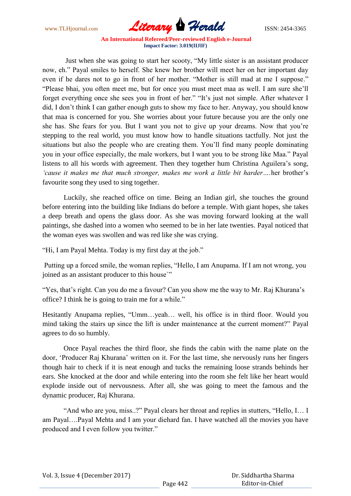www.TLHjournal.com *Literary Herald*ISSN: 2454-3365

 Just when she was going to start her scooty, "My little sister is an assistant producer now, eh." Payal smiles to herself. She knew her brother will meet her on her important day even if he dares not to go in front of her mother. "Mother is still mad at me I suppose." "Please bhai, you often meet me, but for once you must meet maa as well. I am sure she"ll forget everything once she sees you in front of her." "It"s just not simple. After whatever I did, I don"t think I can gather enough guts to show my face to her. Anyway, you should know that maa is concerned for you. She worries about your future because you are the only one she has. She fears for you. But I want you not to give up your dreams. Now that you"re stepping to the real world, you must know how to handle situations tactfully. Not just the situations but also the people who are creating them. You"ll find many people dominating you in your office especially, the male workers, but I want you to be strong like Maa." Payal listens to all his words with agreement. Then they together hum Christina Aguilera"s song, *'cause it makes me that much stronger, makes me work a little bit harder….*her brother"s favourite song they used to sing together.

 Luckily, she reached office on time. Being an Indian girl, she touches the ground before entering into the building like Indians do before a temple. With giant hopes, she takes a deep breath and opens the glass door. As she was moving forward looking at the wall paintings, she dashed into a women who seemed to be in her late twenties. Payal noticed that the woman eyes was swollen and was red like she was crying.

"Hi, I am Payal Mehta. Today is my first day at the job."

Putting up a forced smile, the woman replies, "Hello, I am Anupama. If I am not wrong, you joined as an assistant producer to this house`"

"Yes, that's right. Can you do me a favour? Can you show me the way to Mr. Raj Khurana's office? I think he is going to train me for a while."

Hesitantly Anupama replies, "Umm…yeah… well, his office is in third floor. Would you mind taking the stairs up since the lift is under maintenance at the current moment?" Payal agrees to do so humbly.

 Once Payal reaches the third floor, she finds the cabin with the name plate on the door, "Producer Raj Khurana" written on it. For the last time, she nervously runs her fingers though hair to check if it is neat enough and tucks the remaining loose strands behinds her ears. She knocked at the door and while entering into the room she felt like her heart would explode inside out of nervousness. After all, she was going to meet the famous and the dynamic producer, Raj Khurana.

 "And who are you, miss..?" Payal clears her throat and replies in stutters, "Hello, I… I am Payal….Payal Mehta and I am your diehard fan. I have watched all the movies you have produced and I even follow you twitter."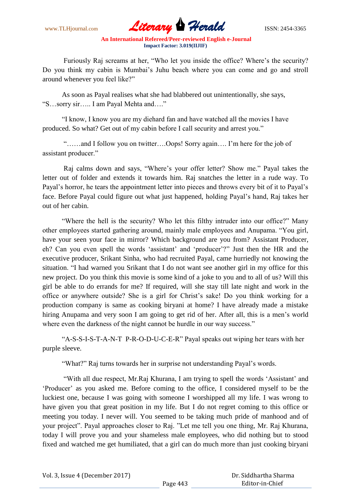

Furiously Raj screams at her, "Who let you inside the office? Where's the security? Do you think my cabin is Mumbai"s Juhu beach where you can come and go and stroll around whenever you feel like?"

 As soon as Payal realises what she had blabbered out unintentionally, she says, "S…sorry sir….. I am Payal Mehta and…."

 "I know, I know you are my diehard fan and have watched all the movies I have produced. So what? Get out of my cabin before I call security and arrest you."

 "……and I follow you on twitter….Oops! Sorry again…. I"m here for the job of assistant producer."

 Raj calms down and says, "Where"s your offer letter? Show me." Payal takes the letter out of folder and extends it towards him. Raj snatches the letter in a rude way. To Payal"s horror, he tears the appointment letter into pieces and throws every bit of it to Payal"s face. Before Payal could figure out what just happened, holding Payal"s hand, Raj takes her out of her cabin.

 "Where the hell is the security? Who let this filthy intruder into our office?" Many other employees started gathering around, mainly male employees and Anupama. "You girl, have your seen your face in mirror? Which background are you from? Assistant Producer, eh? Can you even spell the words "assistant" and "producer"?" Just then the HR and the executive producer, Srikant Sinha, who had recruited Payal, came hurriedly not knowing the situation. "I had warned you Srikant that I do not want see another girl in my office for this new project. Do you think this movie is some kind of a joke to you and to all of us? Will this girl be able to do errands for me? If required, will she stay till late night and work in the office or anywhere outside? She is a girl for Christ"s sake! Do you think working for a production company is same as cooking biryani at home? I have already made a mistake hiring Anupama and very soon I am going to get rid of her. After all, this is a men's world where even the darkness of the night cannot be hurdle in our way success."

 "A-S-S-I-S-T-A-N-T P-R-O-D-U-C-E-R" Payal speaks out wiping her tears with her purple sleeve.

"What?" Raj turns towards her in surprise not understanding Payal's words.

 "With all due respect, Mr.Raj Khurana, I am trying to spell the words "Assistant" and "Producer" as you asked me. Before coming to the office, I considered myself to be the luckiest one, because I was going with someone I worshipped all my life. I was wrong to have given you that great position in my life. But I do not regret coming to this office or meeting you today. I never will. You seemed to be taking much pride of manhood and of your project". Payal approaches closer to Raj. "Let me tell you one thing, Mr. Raj Khurana, today I will prove you and your shameless male employees, who did nothing but to stood fixed and watched me get humiliated, that a girl can do much more than just cooking biryani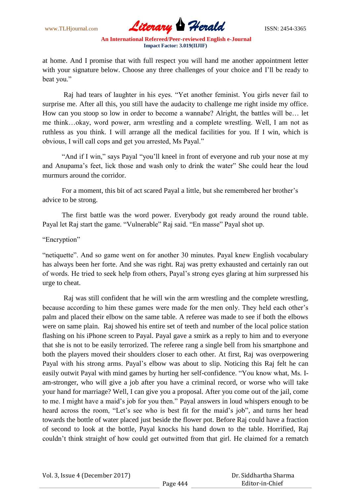

at home. And I promise that with full respect you will hand me another appointment letter with your signature below. Choose any three challenges of your choice and I"ll be ready to beat you."

 Raj had tears of laughter in his eyes. "Yet another feminist. You girls never fail to surprise me. After all this, you still have the audacity to challenge me right inside my office. How can you stoop so low in order to become a wannabe? Alright, the battles will be… let me think…okay, word power, arm wrestling and a complete wrestling. Well, I am not as ruthless as you think. I will arrange all the medical facilities for you. If I win, which is obvious, I will call cops and get you arrested, Ms Payal."

 "And if I win," says Payal "you"ll kneel in front of everyone and rub your nose at my and Anupama"s feet, lick those and wash only to drink the water" She could hear the loud murmurs around the corridor.

For a moment, this bit of act scared Payal a little, but she remembered her brother's advice to be strong.

 The first battle was the word power. Everybody got ready around the round table. Payal let Raj start the game. "Vulnerable" Raj said. "En masse" Payal shot up.

"Encryption"

"netiquette". And so game went on for another 30 minutes. Payal knew English vocabulary has always been her forte. And she was right. Raj was pretty exhausted and certainly ran out of words. He tried to seek help from others, Payal"s strong eyes glaring at him surpressed his urge to cheat.

 Raj was still confident that he will win the arm wrestling and the complete wrestling, because according to him these games were made for the men only. They held each other's palm and placed their elbow on the same table. A referee was made to see if both the elbows were on same plain. Raj showed his entire set of teeth and number of the local police station flashing on his iPhone screen to Payal. Payal gave a smirk as a reply to him and to everyone that she is not to be easily terrorized. The referee rang a single bell from his smartphone and both the players moved their shoulders closer to each other. At first, Raj was overpowering Payal with his strong arms. Payal"s elbow was about to slip. Noticing this Raj felt he can easily outwit Payal with mind games by hurting her self-confidence. "You know what, Ms. Iam-stronger, who will give a job after you have a criminal record, or worse who will take your hand for marriage? Well, I can give you a proposal. After you come out of the jail, come to me. I might have a maid"s job for you then." Payal answers in loud whispers enough to be heard across the room, "Let's see who is best fit for the maid's job", and turns her head towards the bottle of water placed just beside the flower pot. Before Raj could have a fraction of second to look at the bottle, Payal knocks his hand down to the table. Horrified, Raj couldn"t think straight of how could get outwitted from that girl. He claimed for a rematch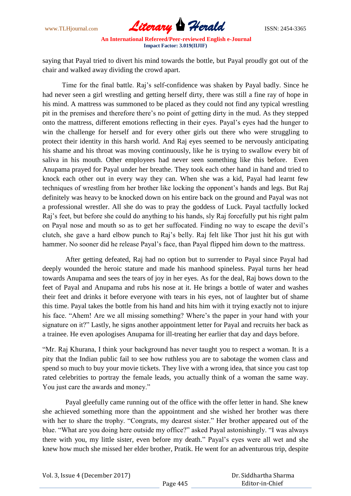

saying that Payal tried to divert his mind towards the bottle, but Payal proudly got out of the chair and walked away dividing the crowd apart.

 Time for the final battle. Raj"s self-confidence was shaken by Payal badly. Since he had never seen a girl wrestling and getting herself dirty, there was still a fine ray of hope in his mind. A mattress was summoned to be placed as they could not find any typical wrestling pit in the premises and therefore there"s no point of getting dirty in the mud. As they stepped onto the mattress, different emotions reflecting in their eyes. Payal"s eyes had the hunger to win the challenge for herself and for every other girls out there who were struggling to protect their identity in this harsh world. And Raj eyes seemed to be nervously anticipating his shame and his throat was moving continuously, like he is trying to swallow every bit of saliva in his mouth. Other employees had never seen something like this before. Even Anupama prayed for Payal under her breathe. They took each other hand in hand and tried to knock each other out in every way they can. When she was a kid, Payal had learnt few techniques of wrestling from her brother like locking the opponent"s hands and legs. But Raj definitely was heavy to be knocked down on his entire back on the ground and Payal was not a professional wrestler. All she do was to pray the goddess of Luck. Payal tactfully locked Raj"s feet, but before she could do anything to his hands, sly Raj forcefully put his right palm on Payal nose and mouth so as to get her suffocated. Finding no way to escape the devil"s clutch, she gave a hard elbow punch to Raj"s belly. Raj felt like Thor just hit his gut with hammer. No sooner did he release Payal's face, than Payal flipped him down to the mattress.

 After getting defeated, Raj had no option but to surrender to Payal since Payal had deeply wounded the heroic stature and made his manhood spineless. Payal turns her head towards Anupama and sees the tears of joy in her eyes. As for the deal, Raj bows down to the feet of Payal and Anupama and rubs his nose at it. He brings a bottle of water and washes their feet and drinks it before everyone with tears in his eyes, not of laughter but of shame this time. Payal takes the bottle from his hand and hits him with it trying exactly not to injure his face. "Ahem! Are we all missing something? Where's the paper in your hand with your signature on it?" Lastly, he signs another appointment letter for Payal and recruits her back as a trainee. He even apologises Anupama for ill-treating her earlier that day and days before.

"Mr. Raj Khurana, I think your background has never taught you to respect a woman. It is a pity that the Indian public fail to see how ruthless you are to sabotage the women class and spend so much to buy your movie tickets. They live with a wrong idea, that since you cast top rated celebrities to portray the female leads, you actually think of a woman the same way. You just care the awards and money."

 Payal gleefully came running out of the office with the offer letter in hand. She knew she achieved something more than the appointment and she wished her brother was there with her to share the trophy. "Congrats, my dearest sister." Her brother appeared out of the blue. "What are you doing here outside my office?" asked Payal astonishingly. "I was always there with you, my little sister, even before my death." Payal"s eyes were all wet and she knew how much she missed her elder brother, Pratik. He went for an adventurous trip, despite